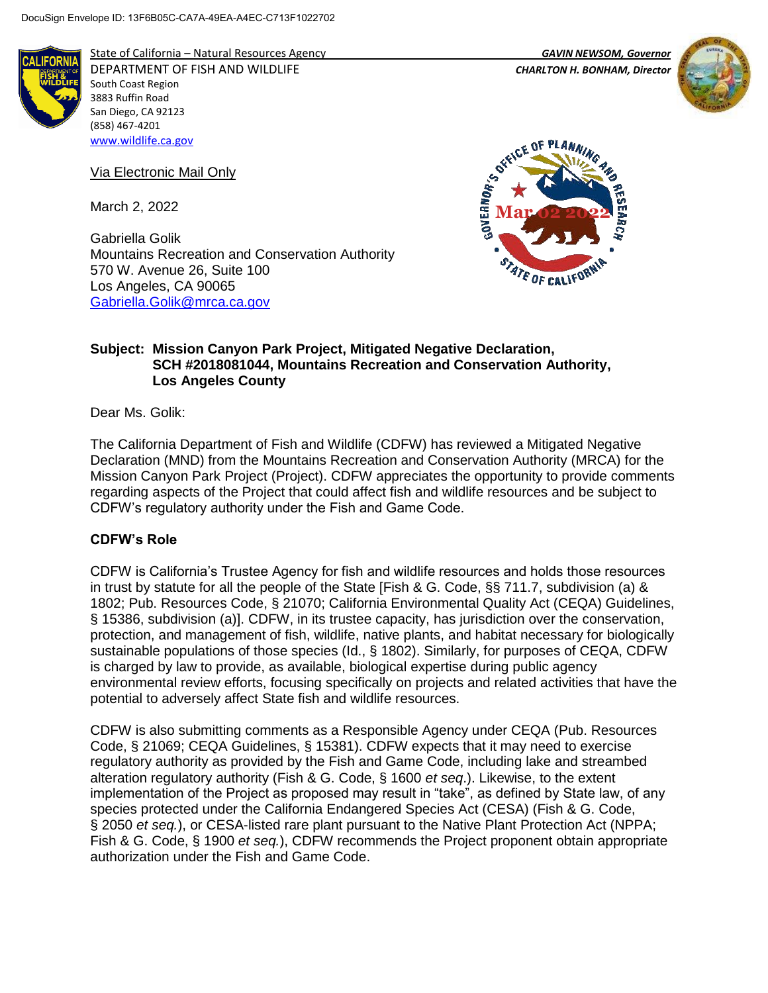

State of California – Natural Resources Agency *GAVIN NEWSOM, Governor* DEPARTMENT OF FISH AND WILDLIFE *CHARLTON H. BONHAM, Director*  South Coast Region 3883 Ruffin Road San Diego, CA 92123 (858) 467-4201 [www.wildlife.ca.gov](http://www.wildlife.ca.gov/)

Via Electronic Mail Only

March 2, 2022

Gabriella Golik Mountains Recreation and Conservation Authority 570 W. Avenue 26, Suite 100 Los Angeles, CA 90065 [Gabriella.Golik@mrca.ca.gov](mailto:Gabriella.Golik@mrca.ca.gov)







### **Subject: Mission Canyon Park Project, Mitigated Negative Declaration, SCH #2018081044, Mountains Recreation and Conservation Authority, Los Angeles County**

Dear Ms. Golik:

The California Department of Fish and Wildlife (CDFW) has reviewed a Mitigated Negative Declaration (MND) from the Mountains Recreation and Conservation Authority (MRCA) for the Mission Canyon Park Project (Project). CDFW appreciates the opportunity to provide comments regarding aspects of the Project that could affect fish and wildlife resources and be subject to CDFW's regulatory authority under the Fish and Game Code.

### **CDFW's Role**

CDFW is California's Trustee Agency for fish and wildlife resources and holds those resources in trust by statute for all the people of the State [Fish & G. Code, §§ 711.7, subdivision (a) & 1802; Pub. Resources Code, § 21070; California Environmental Quality Act (CEQA) Guidelines, § 15386, subdivision (a)]. CDFW, in its trustee capacity, has jurisdiction over the conservation, protection, and management of fish, wildlife, native plants, and habitat necessary for biologically sustainable populations of those species (Id., § 1802). Similarly, for purposes of CEQA, CDFW is charged by law to provide, as available, biological expertise during public agency environmental review efforts, focusing specifically on projects and related activities that have the potential to adversely affect State fish and wildlife resources.

CDFW is also submitting comments as a Responsible Agency under CEQA (Pub. Resources Code, § 21069; CEQA Guidelines, § 15381). CDFW expects that it may need to exercise regulatory authority as provided by the Fish and Game Code, including lake and streambed alteration regulatory authority (Fish & G. Code, § 1600 *et seq*.). Likewise, to the extent implementation of the Project as proposed may result in "take", as defined by State law, of any species protected under the California Endangered Species Act (CESA) (Fish & G. Code, § 2050 *et seq.*), or CESA-listed rare plant pursuant to the Native Plant Protection Act (NPPA; Fish & G. Code, § 1900 *et seq.*), CDFW recommends the Project proponent obtain appropriate authorization under the Fish and Game Code.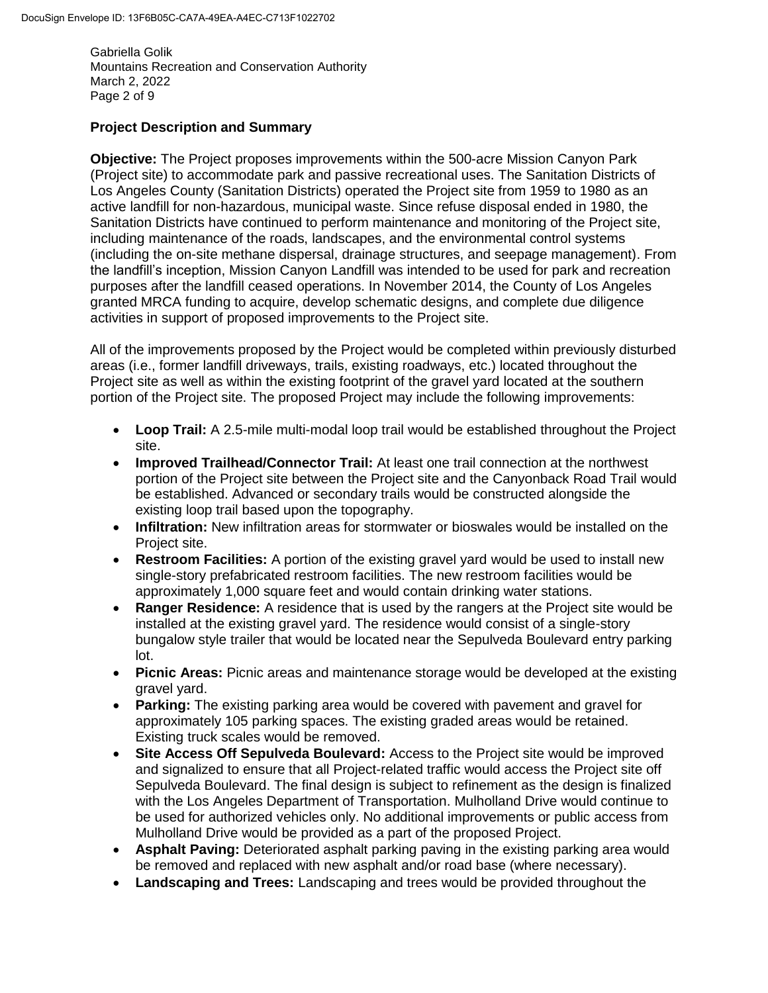Gabriella Golik Mountains Recreation and Conservation Authority March 2, 2022 Page 2 of 9

# **Project Description and Summary**

**Objective:** The Project proposes improvements within the 500-acre Mission Canyon Park (Project site) to accommodate park and passive recreational uses. The Sanitation Districts of Los Angeles County (Sanitation Districts) operated the Project site from 1959 to 1980 as an active landfill for non-hazardous, municipal waste. Since refuse disposal ended in 1980, the Sanitation Districts have continued to perform maintenance and monitoring of the Project site, including maintenance of the roads, landscapes, and the environmental control systems (including the on-site methane dispersal, drainage structures, and seepage management). From the landfill's inception, Mission Canyon Landfill was intended to be used for park and recreation purposes after the landfill ceased operations. In November 2014, the County of Los Angeles granted MRCA funding to acquire, develop schematic designs, and complete due diligence activities in support of proposed improvements to the Project site.

All of the improvements proposed by the Project would be completed within previously disturbed areas (i.e., former landfill driveways, trails, existing roadways, etc.) located throughout the Project site as well as within the existing footprint of the gravel yard located at the southern portion of the Project site. The proposed Project may include the following improvements:

- **Loop Trail:** A 2.5-mile multi-modal loop trail would be established throughout the Project site.
- **Improved Trailhead/Connector Trail:** At least one trail connection at the northwest portion of the Project site between the Project site and the Canyonback Road Trail would be established. Advanced or secondary trails would be constructed alongside the existing loop trail based upon the topography.
- **Infiltration:** New infiltration areas for stormwater or bioswales would be installed on the Project site.
- **Restroom Facilities:** A portion of the existing gravel yard would be used to install new single-story prefabricated restroom facilities. The new restroom facilities would be approximately 1,000 square feet and would contain drinking water stations.
- **Ranger Residence:** A residence that is used by the rangers at the Project site would be installed at the existing gravel yard. The residence would consist of a single-story bungalow style trailer that would be located near the Sepulveda Boulevard entry parking lot.
- **Picnic Areas:** Picnic areas and maintenance storage would be developed at the existing gravel yard.
- **Parking:** The existing parking area would be covered with pavement and gravel for approximately 105 parking spaces. The existing graded areas would be retained. Existing truck scales would be removed.
- **Site Access Off Sepulveda Boulevard:** Access to the Project site would be improved and signalized to ensure that all Project-related traffic would access the Project site off Sepulveda Boulevard. The final design is subject to refinement as the design is finalized with the Los Angeles Department of Transportation. Mulholland Drive would continue to be used for authorized vehicles only. No additional improvements or public access from Mulholland Drive would be provided as a part of the proposed Project.
- **Asphalt Paving:** Deteriorated asphalt parking paving in the existing parking area would be removed and replaced with new asphalt and/or road base (where necessary).
- **Landscaping and Trees:** Landscaping and trees would be provided throughout the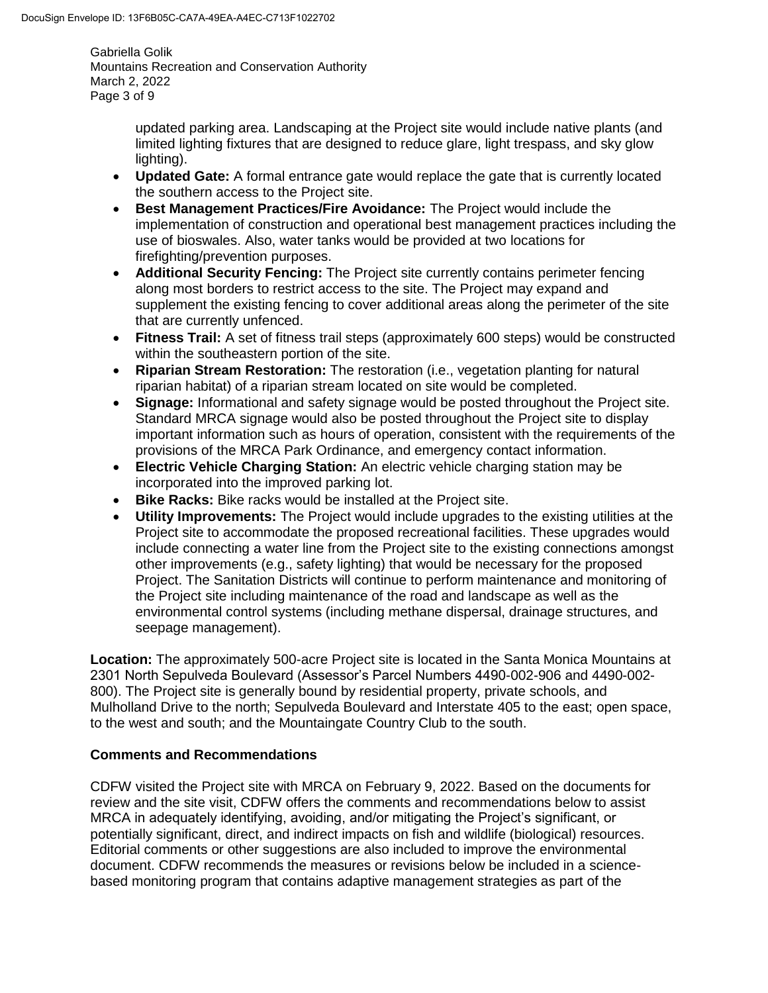Gabriella Golik Mountains Recreation and Conservation Authority March 2, 2022 Page 3 of 9

> updated parking area. Landscaping at the Project site would include native plants (and limited lighting fixtures that are designed to reduce glare, light trespass, and sky glow lighting).

- **Updated Gate:** A formal entrance gate would replace the gate that is currently located the southern access to the Project site.
- **Best Management Practices/Fire Avoidance:** The Project would include the implementation of construction and operational best management practices including the use of bioswales. Also, water tanks would be provided at two locations for firefighting/prevention purposes.
- **Additional Security Fencing:** The Project site currently contains perimeter fencing along most borders to restrict access to the site. The Project may expand and supplement the existing fencing to cover additional areas along the perimeter of the site that are currently unfenced.
- **Fitness Trail:** A set of fitness trail steps (approximately 600 steps) would be constructed within the southeastern portion of the site.
- **Riparian Stream Restoration:** The restoration (i.e., vegetation planting for natural riparian habitat) of a riparian stream located on site would be completed.
- **Signage:** Informational and safety signage would be posted throughout the Project site. Standard MRCA signage would also be posted throughout the Project site to display important information such as hours of operation, consistent with the requirements of the provisions of the MRCA Park Ordinance, and emergency contact information.
- **Electric Vehicle Charging Station:** An electric vehicle charging station may be incorporated into the improved parking lot.
- **Bike Racks:** Bike racks would be installed at the Project site.
- **Utility Improvements:** The Project would include upgrades to the existing utilities at the Project site to accommodate the proposed recreational facilities. These upgrades would include connecting a water line from the Project site to the existing connections amongst other improvements (e.g., safety lighting) that would be necessary for the proposed Project. The Sanitation Districts will continue to perform maintenance and monitoring of the Project site including maintenance of the road and landscape as well as the environmental control systems (including methane dispersal, drainage structures, and seepage management).

**Location:** The approximately 500-acre Project site is located in the Santa Monica Mountains at 2301 North Sepulveda Boulevard (Assessor's Parcel Numbers 4490-002-906 and 4490-002- 800). The Project site is generally bound by residential property, private schools, and Mulholland Drive to the north; Sepulveda Boulevard and Interstate 405 to the east; open space, to the west and south; and the Mountaingate Country Club to the south.

### **Comments and Recommendations**

CDFW visited the Project site with MRCA on February 9, 2022. Based on the documents for review and the site visit, CDFW offers the comments and recommendations below to assist MRCA in adequately identifying, avoiding, and/or mitigating the Project's significant, or potentially significant, direct, and indirect impacts on fish and wildlife (biological) resources. Editorial comments or other suggestions are also included to improve the environmental document. CDFW recommends the measures or revisions below be included in a sciencebased monitoring program that contains adaptive management strategies as part of the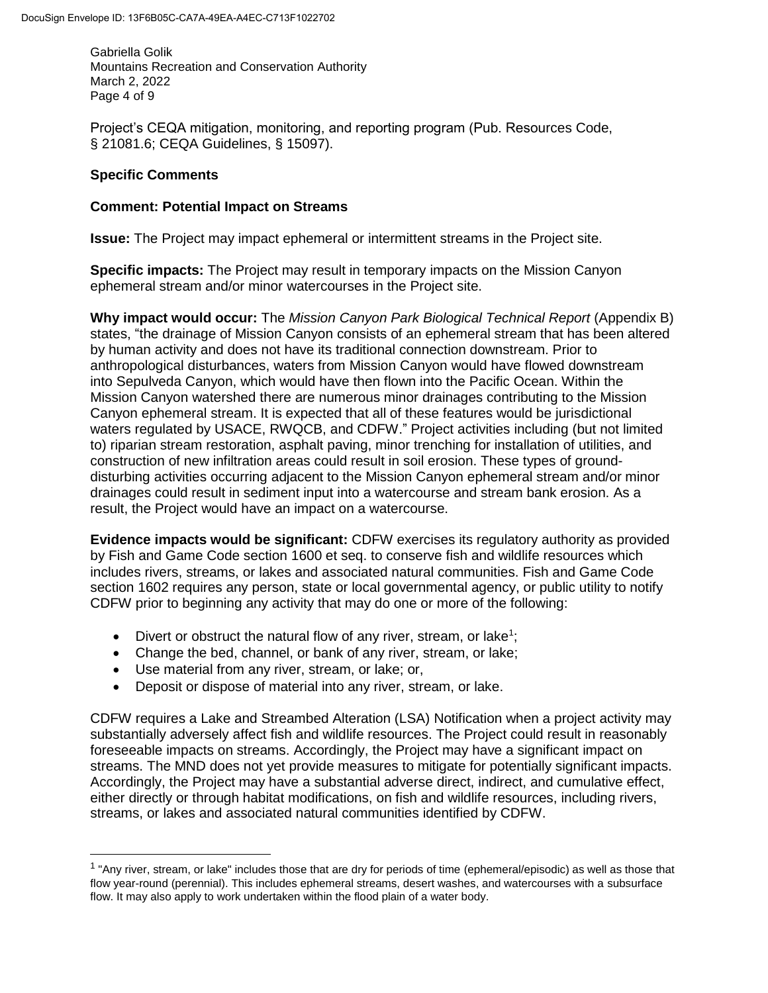Gabriella Golik Mountains Recreation and Conservation Authority March 2, 2022 Page 4 of 9

Project's CEQA mitigation, monitoring, and reporting program (Pub. Resources Code, § 21081.6; CEQA Guidelines, § 15097).

### **Specific Comments**

 $\overline{\phantom{a}}$ 

#### **Comment: Potential Impact on Streams**

**Issue:** The Project may impact ephemeral or intermittent streams in the Project site.

**Specific impacts:** The Project may result in temporary impacts on the Mission Canyon ephemeral stream and/or minor watercourses in the Project site.

**Why impact would occur:** The *Mission Canyon Park Biological Technical Report* (Appendix B) states, "the drainage of Mission Canyon consists of an ephemeral stream that has been altered by human activity and does not have its traditional connection downstream. Prior to anthropological disturbances, waters from Mission Canyon would have flowed downstream into Sepulveda Canyon, which would have then flown into the Pacific Ocean. Within the Mission Canyon watershed there are numerous minor drainages contributing to the Mission Canyon ephemeral stream. It is expected that all of these features would be jurisdictional waters regulated by USACE, RWQCB, and CDFW." Project activities including (but not limited to) riparian stream restoration, asphalt paving, minor trenching for installation of utilities, and construction of new infiltration areas could result in soil erosion. These types of grounddisturbing activities occurring adjacent to the Mission Canyon ephemeral stream and/or minor drainages could result in sediment input into a watercourse and stream bank erosion. As a result, the Project would have an impact on a watercourse.

**Evidence impacts would be significant:** CDFW exercises its regulatory authority as provided by Fish and Game Code section 1600 et seq. to conserve fish and wildlife resources which includes rivers, streams, or lakes and associated natural communities. Fish and Game Code section 1602 requires any person, state or local governmental agency, or public utility to notify CDFW prior to beginning any activity that may do one or more of the following:

- Divert or obstruct the natural flow of any river, stream, or lake<sup>1</sup>;
- Change the bed, channel, or bank of any river, stream, or lake;
- Use material from any river, stream, or lake; or,
- Deposit or dispose of material into any river, stream, or lake.

CDFW requires a Lake and Streambed Alteration (LSA) Notification when a project activity may substantially adversely affect fish and wildlife resources. The Project could result in reasonably foreseeable impacts on streams. Accordingly, the Project may have a significant impact on streams. The MND does not yet provide measures to mitigate for potentially significant impacts. Accordingly, the Project may have a substantial adverse direct, indirect, and cumulative effect, either directly or through habitat modifications, on fish and wildlife resources, including rivers, streams, or lakes and associated natural communities identified by CDFW.

<sup>&</sup>lt;sup>1</sup> "Any river, stream, or lake" includes those that are dry for periods of time (ephemeral/episodic) as well as those that flow year-round (perennial). This includes ephemeral streams, desert washes, and watercourses with a subsurface flow. It may also apply to work undertaken within the flood plain of a water body.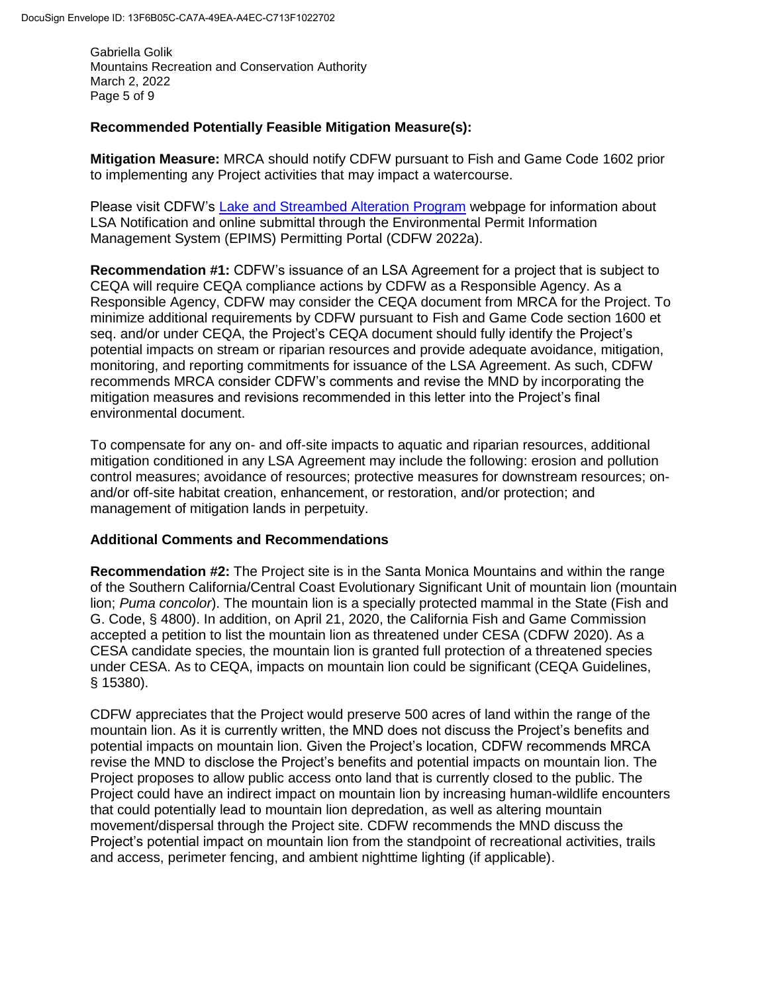Gabriella Golik Mountains Recreation and Conservation Authority March 2, 2022 Page 5 of 9

#### **Recommended Potentially Feasible Mitigation Measure(s):**

**Mitigation Measure:** MRCA should notify CDFW pursuant to Fish and Game Code 1602 prior to implementing any Project activities that may impact a watercourse.

Please visit CDFW's [Lake and Streambed Alteration Program](https://wildlife.ca.gov/Conservation/LSA) webpage for information about LSA Notification and online submittal through the Environmental Permit Information Management System (EPIMS) Permitting Portal (CDFW 2022a).

**Recommendation #1:** CDFW's issuance of an LSA Agreement for a project that is subject to CEQA will require CEQA compliance actions by CDFW as a Responsible Agency. As a Responsible Agency, CDFW may consider the CEQA document from MRCA for the Project. To minimize additional requirements by CDFW pursuant to Fish and Game Code section 1600 et seq. and/or under CEQA, the Project's CEQA document should fully identify the Project's potential impacts on stream or riparian resources and provide adequate avoidance, mitigation, monitoring, and reporting commitments for issuance of the LSA Agreement. As such, CDFW recommends MRCA consider CDFW's comments and revise the MND by incorporating the mitigation measures and revisions recommended in this letter into the Project's final environmental document.

To compensate for any on- and off-site impacts to aquatic and riparian resources, additional mitigation conditioned in any LSA Agreement may include the following: erosion and pollution control measures; avoidance of resources; protective measures for downstream resources; onand/or off-site habitat creation, enhancement, or restoration, and/or protection; and management of mitigation lands in perpetuity.

#### **Additional Comments and Recommendations**

**Recommendation #2:** The Project site is in the Santa Monica Mountains and within the range of the Southern California/Central Coast Evolutionary Significant Unit of mountain lion (mountain lion; *Puma concolor*). The mountain lion is a specially protected mammal in the State (Fish and G. Code, § 4800). In addition, on April 21, 2020, the California Fish and Game Commission accepted a petition to list the mountain lion as threatened under CESA (CDFW 2020). As a CESA candidate species, the mountain lion is granted full protection of a threatened species under CESA. As to CEQA, impacts on mountain lion could be significant (CEQA Guidelines, § 15380).

CDFW appreciates that the Project would preserve 500 acres of land within the range of the mountain lion. As it is currently written, the MND does not discuss the Project's benefits and potential impacts on mountain lion. Given the Project's location, CDFW recommends MRCA revise the MND to disclose the Project's benefits and potential impacts on mountain lion. The Project proposes to allow public access onto land that is currently closed to the public. The Project could have an indirect impact on mountain lion by increasing human-wildlife encounters that could potentially lead to mountain lion depredation, as well as altering mountain movement/dispersal through the Project site. CDFW recommends the MND discuss the Project's potential impact on mountain lion from the standpoint of recreational activities, trails and access, perimeter fencing, and ambient nighttime lighting (if applicable).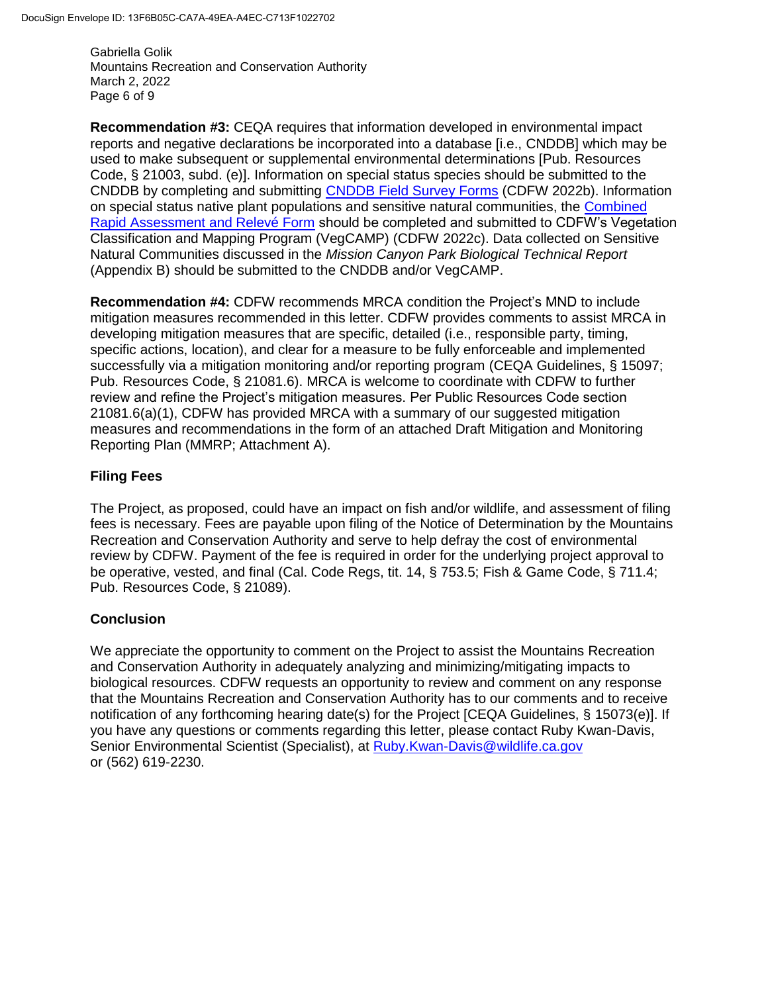Gabriella Golik Mountains Recreation and Conservation Authority March 2, 2022 Page 6 of 9

**Recommendation #3:** CEQA requires that information developed in environmental impact reports and negative declarations be incorporated into a database [i.e., CNDDB] which may be used to make subsequent or supplemental environmental determinations [Pub. Resources Code, § 21003, subd. (e)]. Information on special status species should be submitted to the CNDDB by completing and submitting [CNDDB Field Survey Forms](https://wildlife.ca.gov/Data/CNDDB/Submitting-Data) (CDFW 2022b). Information on special status native plant populations and sensitive natural communities, the [Combined](https://wildlife.ca.gov/Data/VegCAMP/Natural-Communities/Submit)  [Rapid Assessment and Relevé Form](https://wildlife.ca.gov/Data/VegCAMP/Natural-Communities/Submit) should be completed and submitted to CDFW's Vegetation Classification and Mapping Program (VegCAMP) (CDFW 2022c). Data collected on Sensitive Natural Communities discussed in the *Mission Canyon Park Biological Technical Report* (Appendix B) should be submitted to the CNDDB and/or VegCAMP.

**Recommendation #4:** CDFW recommends MRCA condition the Project's MND to include mitigation measures recommended in this letter. CDFW provides comments to assist MRCA in developing mitigation measures that are specific, detailed (i.e., responsible party, timing, specific actions, location), and clear for a measure to be fully enforceable and implemented successfully via a mitigation monitoring and/or reporting program (CEQA Guidelines, § 15097; Pub. Resources Code, § 21081.6). MRCA is welcome to coordinate with CDFW to further review and refine the Project's mitigation measures. Per Public Resources Code section 21081.6(a)(1), CDFW has provided MRCA with a summary of our suggested mitigation measures and recommendations in the form of an attached Draft Mitigation and Monitoring Reporting Plan (MMRP; Attachment A).

# **Filing Fees**

The Project, as proposed, could have an impact on fish and/or wildlife, and assessment of filing fees is necessary. Fees are payable upon filing of the Notice of Determination by the Mountains Recreation and Conservation Authority and serve to help defray the cost of environmental review by CDFW. Payment of the fee is required in order for the underlying project approval to be operative, vested, and final (Cal. Code Regs, tit. 14, § 753.5; Fish & Game Code, § 711.4; Pub. Resources Code, § 21089).

### **Conclusion**

We appreciate the opportunity to comment on the Project to assist the Mountains Recreation and Conservation Authority in adequately analyzing and minimizing/mitigating impacts to biological resources. CDFW requests an opportunity to review and comment on any response that the Mountains Recreation and Conservation Authority has to our comments and to receive notification of any forthcoming hearing date(s) for the Project [CEQA Guidelines, § 15073(e)]. If you have any questions or comments regarding this letter, please contact Ruby Kwan-Davis, Senior Environmental Scientist (Specialist), at [Ruby.Kwan-Davis@wildlife.ca.gov](mailto:Ruby.Kwan-Davis@wildlife.ca.gov) or (562) 619-2230.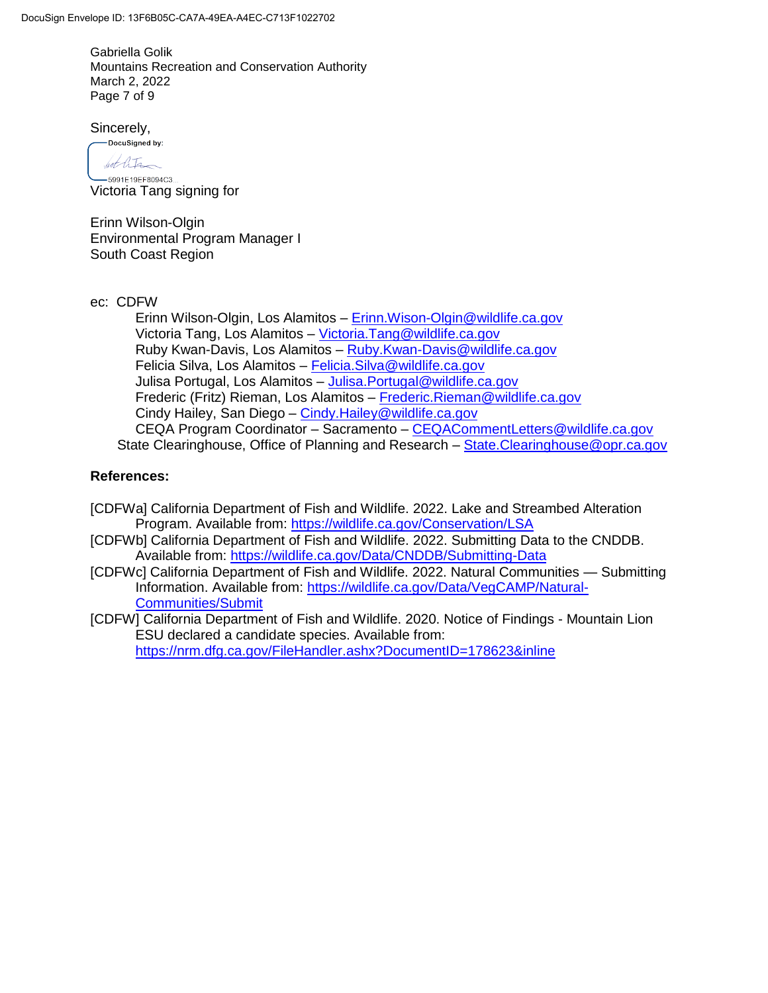Gabriella Golik Mountains Recreation and Conservation Authority March 2, 2022 Page 7 of 9

Sincerely,

DocuSigned by: bet lits -5991E19EF8094C3...

Victoria Tang signing for

Erinn Wilson-Olgin Environmental Program Manager I South Coast Region

ec: CDFW

Erinn Wilson-Olgin, Los Alamitos – [Erinn.Wison-Olgin@wildlife.ca.gov](mailto:Erinn.Wison-Olgin@wildlife.ca.gov) Victoria Tang, Los Alamitos – [Victoria.Tang@wildlife.ca.gov](mailto:Victoria.Tang@wildlife.ca.gov) Ruby Kwan-Davis, Los Alamitos – [Ruby.Kwan-Davis@wildlife.ca.gov](mailto:Ruby.Kwan-Davis@wildlife.ca.gov) Felicia Silva, Los Alamitos – [Felicia.Silva@wildlife.ca.gov](mailto:Felicia.Silva@wildlife.ca.gov) Julisa Portugal, Los Alamitos – [Julisa.Portugal@wildlife.ca.gov](mailto:Julisa.Portugal@wildlife.ca.gov) Frederic (Fritz) Rieman, Los Alamitos – [Frederic.Rieman@wildlife.ca.gov](mailto:Frederic.Rieman@wildlife.ca.gov) Cindy Hailey, San Diego – [Cindy.Hailey@wildlife.ca.gov](mailto:Cindy.Hailey@wildlife.ca.gov) CEQA Program Coordinator – Sacramento – [CEQACommentLetters@wildlife.ca.gov](mailto:CEQACommentLetters@wildlife.ca.gov)  State Clearinghouse, Office of Planning and Research - State. Clearinghouse @ opr.ca.gov

### **References:**

[CDFWa] California Department of Fish and Wildlife. 2022. Lake and Streambed Alteration Program. Available from:<https://wildlife.ca.gov/Conservation/LSA>

- [CDFWb] California Department of Fish and Wildlife. 2022. Submitting Data to the CNDDB. Available from:<https://wildlife.ca.gov/Data/CNDDB/Submitting-Data>
- [CDFWc] California Department of Fish and Wildlife. 2022. Natural Communities Submitting Information. Available from: [https://wildlife.ca.gov/Data/VegCAMP/Natural-](https://wildlife.ca.gov/Data/VegCAMP/Natural-Communities/Submit)[Communities/Submit](https://wildlife.ca.gov/Data/VegCAMP/Natural-Communities/Submit)
- [CDFW] California Department of Fish and Wildlife. 2020. Notice of Findings Mountain Lion ESU declared a candidate species. Available from: <https://nrm.dfg.ca.gov/FileHandler.ashx?DocumentID=178623&inline>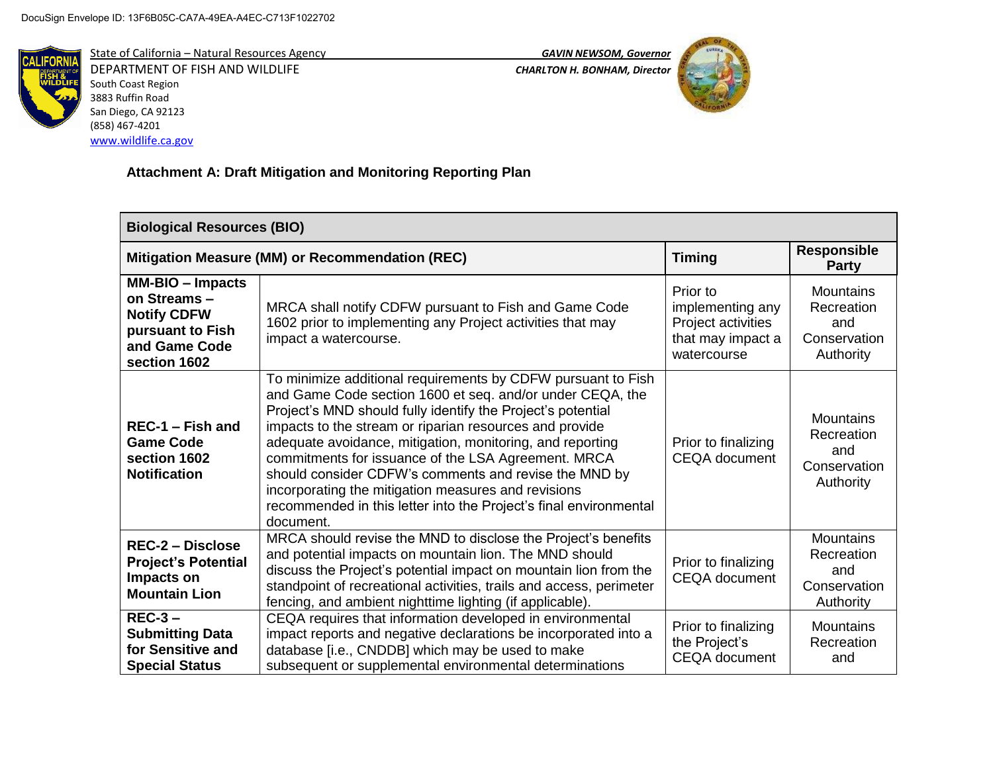

State of California – Natural Resources Agency *GAVIN NEWSOM, Governor* DEPARTMENT OF FISH AND WILDLIFE *CHARLTON H. BONHAM, Director*  South Coast Region 3883 Ruffin Road San Diego, CA 92123 (858) 467-4201 [www.wildlife.ca.gov](http://www.wildlife.ca.gov/)



# **Attachment A: Draft Mitigation and Monitoring Reporting Plan**

| <b>Biological Resources (BIO)</b>                                                                                 |                                                                                                                                                                                                                                                                                                                                                                                                                                                                                                                                                                           |                                                                                        |                                                                    |  |  |
|-------------------------------------------------------------------------------------------------------------------|---------------------------------------------------------------------------------------------------------------------------------------------------------------------------------------------------------------------------------------------------------------------------------------------------------------------------------------------------------------------------------------------------------------------------------------------------------------------------------------------------------------------------------------------------------------------------|----------------------------------------------------------------------------------------|--------------------------------------------------------------------|--|--|
| Mitigation Measure (MM) or Recommendation (REC)                                                                   |                                                                                                                                                                                                                                                                                                                                                                                                                                                                                                                                                                           | <b>Timing</b>                                                                          | <b>Responsible</b><br><b>Party</b>                                 |  |  |
| <b>MM-BIO - Impacts</b><br>on Streams-<br><b>Notify CDFW</b><br>pursuant to Fish<br>and Game Code<br>section 1602 | MRCA shall notify CDFW pursuant to Fish and Game Code<br>1602 prior to implementing any Project activities that may<br>impact a watercourse.                                                                                                                                                                                                                                                                                                                                                                                                                              | Prior to<br>implementing any<br>Project activities<br>that may impact a<br>watercourse | <b>Mountains</b><br>Recreation<br>and<br>Conservation<br>Authority |  |  |
| REC-1 - Fish and<br><b>Game Code</b><br>section 1602<br><b>Notification</b>                                       | To minimize additional requirements by CDFW pursuant to Fish<br>and Game Code section 1600 et seq. and/or under CEQA, the<br>Project's MND should fully identify the Project's potential<br>impacts to the stream or riparian resources and provide<br>adequate avoidance, mitigation, monitoring, and reporting<br>commitments for issuance of the LSA Agreement. MRCA<br>should consider CDFW's comments and revise the MND by<br>incorporating the mitigation measures and revisions<br>recommended in this letter into the Project's final environmental<br>document. | Prior to finalizing<br><b>CEQA</b> document                                            | <b>Mountains</b><br>Recreation<br>and<br>Conservation<br>Authority |  |  |
| <b>REC-2 - Disclose</b><br><b>Project's Potential</b><br>Impacts on<br><b>Mountain Lion</b>                       | MRCA should revise the MND to disclose the Project's benefits<br>and potential impacts on mountain lion. The MND should<br>discuss the Project's potential impact on mountain lion from the<br>standpoint of recreational activities, trails and access, perimeter<br>fencing, and ambient nighttime lighting (if applicable).                                                                                                                                                                                                                                            | Prior to finalizing<br><b>CEQA</b> document                                            | <b>Mountains</b><br>Recreation<br>and<br>Conservation<br>Authority |  |  |
| $REC-3-$<br><b>Submitting Data</b><br>for Sensitive and<br><b>Special Status</b>                                  | CEQA requires that information developed in environmental<br>impact reports and negative declarations be incorporated into a<br>database [i.e., CNDDB] which may be used to make<br>subsequent or supplemental environmental determinations                                                                                                                                                                                                                                                                                                                               | Prior to finalizing<br>the Project's<br><b>CEQA</b> document                           | <b>Mountains</b><br>Recreation<br>and                              |  |  |